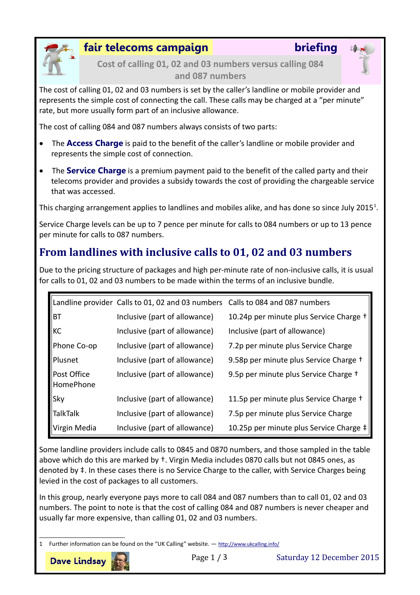

### **fair telecoms campaign briefing**

**Cost of calling 01, 02 and 03 numbers versus calling 084 and 087 numbers**

The cost of calling 01, 02 and 03 numbers is set by the caller's landline or mobile provider and represents the simple cost of connecting the call. These calls may be charged at a "per minute" rate, but more usually form part of an inclusive allowance.

The cost of calling 084 and 087 numbers always consists of two parts:

- The **Access Charge** is paid to the benefit of the caller's landline or mobile provider and represents the simple cost of connection.
- The **Service Charge** is a premium payment paid to the benefit of the called party and their telecoms provider and provides a subsidy towards the cost of providing the chargeable service that was accessed.

This charging arrangement applies to landlines and mobiles alike, and has done so since July 20[1](#page-0-0)5<sup>1</sup>.

Service Charge levels can be up to 7 pence per minute for calls to 084 numbers or up to 13 pence per minute for calls to 087 numbers.

## **From landlines with inclusive calls to 01, 02 and 03 numbers**

Due to the pricing structure of packages and high per-minute rate of non-inclusive calls, it is usual for calls to 01, 02 and 03 numbers to be made within the terms of an inclusive bundle.

|                          | Landline provider Calls to 01, 02 and 03 numbers Calls to 084 and 087 numbers |                                         |
|--------------------------|-------------------------------------------------------------------------------|-----------------------------------------|
| ВT                       | Inclusive (part of allowance)                                                 | 10.24p per minute plus Service Charge + |
| КC                       | Inclusive (part of allowance)                                                 | Inclusive (part of allowance)           |
| Phone Co-op              | Inclusive (part of allowance)                                                 | 7.2p per minute plus Service Charge     |
| Plusnet                  | Inclusive (part of allowance)                                                 | 9.58p per minute plus Service Charge +  |
| Post Office<br>HomePhone | Inclusive (part of allowance)                                                 | 9.5p per minute plus Service Charge +   |
| Sky                      | Inclusive (part of allowance)                                                 | 11.5p per minute plus Service Charge +  |
| <b>TalkTalk</b>          | Inclusive (part of allowance)                                                 | 7.5p per minute plus Service Charge     |
| Virgin Media             | Inclusive (part of allowance)                                                 | 10.25p per minute plus Service Charge ‡ |

Some landline providers include calls to 0845 and 0870 numbers, and those sampled in the table above which do this are marked by  $\dagger$ . Virgin Media includes 0870 calls but not 0845 ones, as denoted by ‡. In these cases there is no Service Charge to the caller, with Service Charges being levied in the cost of packages to all customers.

In this group, nearly everyone pays more to call 084 and 087 numbers than to call 01, 02 and 03 numbers. The point to note is that the cost of calling 084 and 087 numbers is never cheaper and usually far more expensive, than calling 01, 02 and 03 numbers.

<span id="page-0-0"></span><sup>1</sup> Further information can be found on the "UK Calling" website. - <http://www.ukcalling.info/>

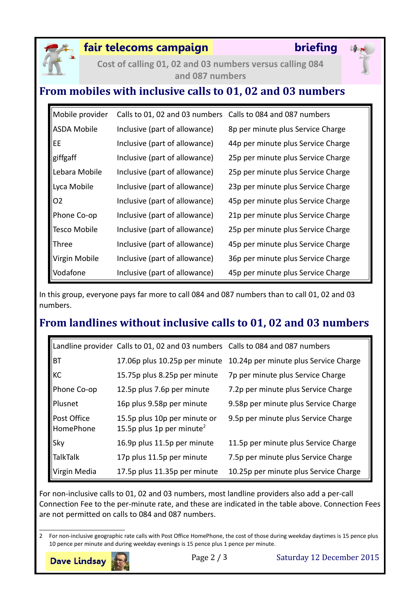

### **fair telecoms campaign briefing**

**Cost of calling 01, 02 and 03 numbers versus calling 084 and 087 numbers**

## **From mobiles with inclusive calls to 01, 02 and 03 numbers**

| Mobile provider     | Calls to 01, 02 and 03 numbers Calls to 084 and 087 numbers |                                    |
|---------------------|-------------------------------------------------------------|------------------------------------|
| <b>ASDA Mobile</b>  | Inclusive (part of allowance)                               | 8p per minute plus Service Charge  |
| EE                  | Inclusive (part of allowance)                               | 44p per minute plus Service Charge |
| giffgaff            | Inclusive (part of allowance)                               | 25p per minute plus Service Charge |
| Lebara Mobile       | Inclusive (part of allowance)                               | 25p per minute plus Service Charge |
| Lyca Mobile         | Inclusive (part of allowance)                               | 23p per minute plus Service Charge |
| O <sub>2</sub>      | Inclusive (part of allowance)                               | 45p per minute plus Service Charge |
| Phone Co-op         | Inclusive (part of allowance)                               | 21p per minute plus Service Charge |
| <b>Tesco Mobile</b> | Inclusive (part of allowance)                               | 25p per minute plus Service Charge |
| Three               | Inclusive (part of allowance)                               | 45p per minute plus Service Charge |
| Virgin Mobile       | Inclusive (part of allowance)                               | 36p per minute plus Service Charge |
| Vodafone            | Inclusive (part of allowance)                               | 45p per minute plus Service Charge |

In this group, everyone pays far more to call 084 and 087 numbers than to call 01, 02 and 03 numbers.

# **From landlines without inclusive calls to 01, 02 and 03 numbers**

|                          | Landline provider Calls to 01, 02 and 03 numbers Calls to 084 and 087 numbers |                                       |
|--------------------------|-------------------------------------------------------------------------------|---------------------------------------|
| BT                       | 17.06p plus 10.25p per minute                                                 | 10.24p per minute plus Service Charge |
| KC                       | 15.75p plus 8.25p per minute                                                  | 7p per minute plus Service Charge     |
| Phone Co-op              | 12.5p plus 7.6p per minute                                                    | 7.2p per minute plus Service Charge   |
| Plusnet                  | 16p plus 9.58p per minute                                                     | 9.58p per minute plus Service Charge  |
| Post Office<br>HomePhone | 15.5p plus 10p per minute or<br>15.5p plus 1p per minute <sup>2</sup>         | 9.5p per minute plus Service Charge   |
| Sky                      | 16.9p plus 11.5p per minute                                                   | 11.5p per minute plus Service Charge  |
| <b>TalkTalk</b>          | 17p plus 11.5p per minute                                                     | 7.5p per minute plus Service Charge   |
| Virgin Media             | 17.5p plus 11.35p per minute                                                  | 10.25p per minute plus Service Charge |

For non-inclusive calls to 01, 02 and 03 numbers, most landline providers also add a per-call Connection Fee to the per-minute rate, and these are indicated in the table above. Connection Fees are not permitted on calls to 084 and 087 numbers.

<span id="page-1-0"></span><sup>2</sup> For non-inclusive geographic rate calls with Post Office HomePhone, the cost of those during weekday daytimes is 15 pence plus 10 pence per minute and during weekday evenings is 15 pence plus 1 pence per minute.